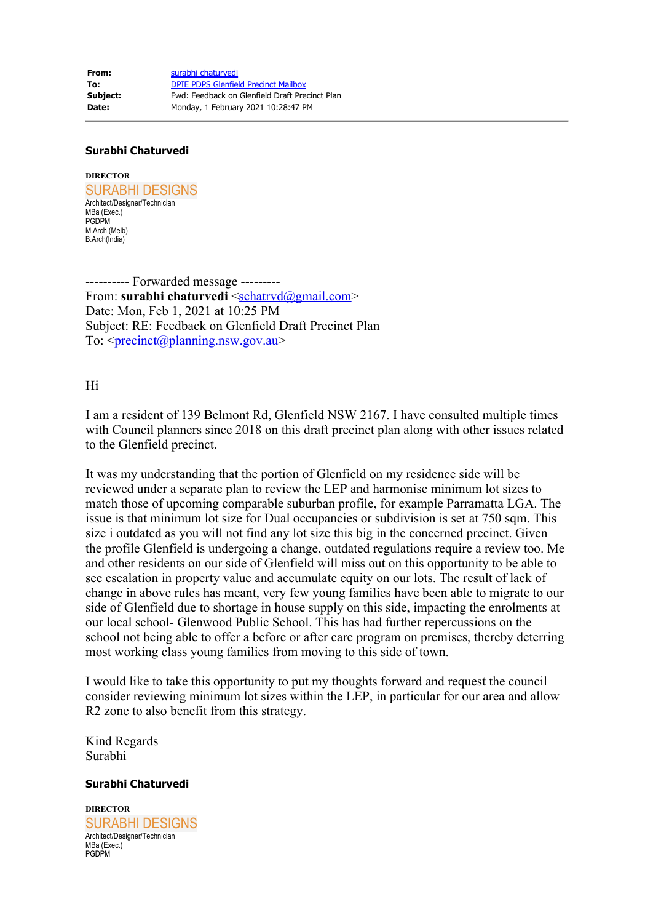**From:** [surabhi chaturvedi](mailto:schatrvd@gmail.com) **To:** [DPIE PDPS Glenfield Precinct Mailbox](mailto:glenfield.precinct@planning.nsw.gov.au) **Subject:** Fwd: Feedback on Glenfield Draft Precinct Plan **Date:** Monday, 1 February 2021 10:28:47 PM

## **Surabhi Chaturvedi**

**DIRECTOR** SURABHI DESIGNS Architect/Designer/Technician MBa (Exec.) **PGDPM** M.Arch (Melb) B.Arch(India)

---------- Forwarded message --------- From: **surabhi chaturvedi** <[schatrvd@gmail.com](mailto:schatrvd@gmail.com)> Date: Mon, Feb 1, 2021 at 10:25 PM Subject: RE: Feedback on Glenfield Draft Precinct Plan To:  $\leq$ <u>precinct</u> $\omega$ planning.nsw.gov.au

Hi

I am a resident of 139 Belmont Rd, Glenfield NSW 2167. I have consulted multiple times with Council planners since 2018 on this draft precinct plan along with other issues related to the Glenfield precinct.

It was my understanding that the portion of Glenfield on my residence side will be reviewed under a separate plan to review the LEP and harmonise minimum lot sizes to match those of upcoming comparable suburban profile, for example Parramatta LGA. The issue is that minimum lot size for Dual occupancies or subdivision is set at 750 sqm. This size i outdated as you will not find any lot size this big in the concerned precinct. Given the profile Glenfield is undergoing a change, outdated regulations require a review too. Me and other residents on our side of Glenfield will miss out on this opportunity to be able to see escalation in property value and accumulate equity on our lots. The result of lack of change in above rules has meant, very few young families have been able to migrate to our side of Glenfield due to shortage in house supply on this side, impacting the enrolments at our local school- Glenwood Public School. This has had further repercussions on the school not being able to offer a before or after care program on premises, thereby deterring most working class young families from moving to this side of town.

I would like to take this opportunity to put my thoughts forward and request the council consider reviewing minimum lot sizes within the LEP, in particular for our area and allow R2 zone to also benefit from this strategy.

Kind Regards Surabhi

## **Surabhi Chaturvedi**

**DIRECTOR** SURABHI DESIGNS Architect/Designer/Technician MBa (Exec.) PGDPM